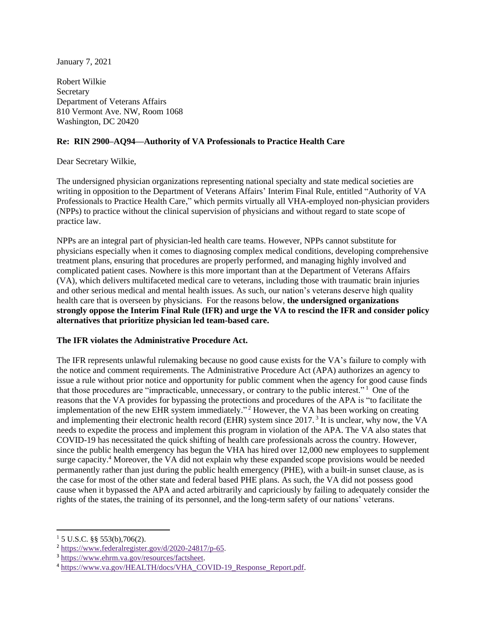January 7, 2021

Robert Wilkie **Secretary** Department of Veterans Affairs 810 Vermont Ave. NW, Room 1068 Washington, DC 20420

## **Re: RIN 2900–AQ94—Authority of VA Professionals to Practice Health Care**

Dear Secretary Wilkie,

The undersigned physician organizations representing national specialty and state medical societies are writing in opposition to the Department of Veterans Affairs' Interim Final Rule, entitled "Authority of VA Professionals to Practice Health Care," which permits virtually all VHA-employed non-physician providers (NPPs) to practice without the clinical supervision of physicians and without regard to state scope of practice law.

NPPs are an integral part of physician-led health care teams. However, NPPs cannot substitute for physicians especially when it comes to diagnosing complex medical conditions, developing comprehensive treatment plans, ensuring that procedures are properly performed, and managing highly involved and complicated patient cases. Nowhere is this more important than at the Department of Veterans Affairs (VA), which delivers multifaceted medical care to veterans, including those with traumatic brain injuries and other serious medical and mental health issues. As such, our nation's veterans deserve high quality health care that is overseen by physicians. For the reasons below, **the undersigned organizations strongly oppose the Interim Final Rule (IFR) and urge the VA to rescind the IFR and consider policy alternatives that prioritize physician led team-based care.**

#### **The IFR violates the Administrative Procedure Act.**

The IFR represents unlawful rulemaking because no good cause exists for the VA's failure to comply with the notice and comment requirements. The Administrative Procedure Act (APA) authorizes an agency to issue a rule without prior notice and opportunity for public comment when the agency for good cause finds that those procedures are "impracticable, unnecessary, or contrary to the public interest." <sup>1</sup> One of the reasons that the VA provides for bypassing the protections and procedures of the APA is "to facilitate the implementation of the new EHR system immediately." <sup>2</sup> However, the VA has been working on creating and implementing their electronic health record (EHR) system since  $2017$ .<sup>3</sup> It is unclear, why now, the VA needs to expedite the process and implement this program in violation of the APA. The VA also states that COVID-19 has necessitated the quick shifting of health care professionals across the country. However, since the public health emergency has begun the VHA has hired over 12,000 new employees to supplement surge capacity.<sup>4</sup> Moreover, the VA did not explain why these expanded scope provisions would be needed permanently rather than just during the public health emergency (PHE), with a built-in sunset clause, as is the case for most of the other state and federal based PHE plans. As such, the VA did not possess good cause when it bypassed the APA and acted arbitrarily and capriciously by failing to adequately consider the rights of the states, the training of its personnel, and the long-term safety of our nations' veterans.

 $1\,$  5 U.S.C. §§ 553(b),706(2).

<sup>2</sup> [https://www.federalregister.gov/d/2020-24817/p-65.](https://www.federalregister.gov/d/2020-24817/p-65)

<sup>3</sup> [https://www.ehrm.va.gov/resources/factsheet.](https://www.ehrm.va.gov/resources/factsheet)

<sup>4</sup> [https://www.va.gov/HEALTH/docs/VHA\\_COVID-19\\_Response\\_Report.pdf.](https://www.va.gov/HEALTH/docs/VHA_COVID-19_Response_Report.pdf)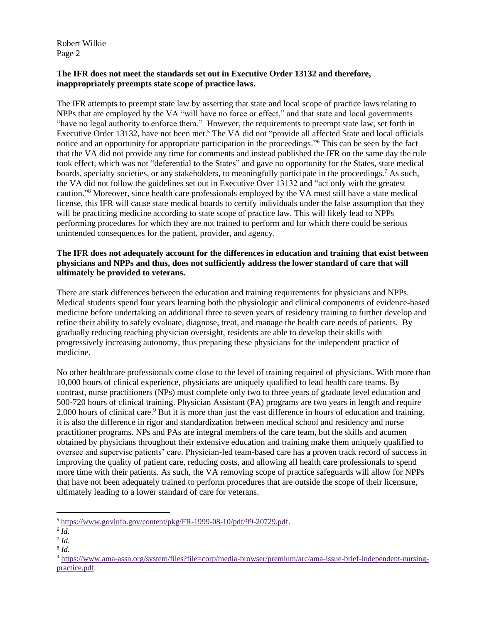## **The IFR does not meet the standards set out in Executive Order 13132 and therefore, inappropriately preempts state scope of practice laws.**

The IFR attempts to preempt state law by asserting that state and local scope of practice laws relating to NPPs that are employed by the VA "will have no force or effect," and that state and local governments "have no legal authority to enforce them." However, the requirements to preempt state law, set forth in Executive Order 13132, have not been met.<sup>5</sup> The VA did not "provide all affected State and local officials notice and an opportunity for appropriate participation in the proceedings." <sup>6</sup> This can be seen by the fact that the VA did not provide any time for comments and instead published the IFR on the same day the rule took effect, which was not "deferential to the States" and gave no opportunity for the States, state medical boards, specialty societies, or any stakeholders, to meaningfully participate in the proceedings.<sup>7</sup> As such, the VA did not follow the guidelines set out in Executive Over 13132 and "act only with the greatest caution." <sup>8</sup> Moreover, since health care professionals employed by the VA must still have a state medical license, this IFR will cause state medical boards to certify individuals under the false assumption that they will be practicing medicine according to state scope of practice law. This will likely lead to NPPs performing procedures for which they are not trained to perform and for which there could be serious unintended consequences for the patient, provider, and agency.

### **The IFR does not adequately account for the differences in education and training that exist between physicians and NPPs and thus, does not sufficiently address the lower standard of care that will ultimately be provided to veterans.**

There are stark differences between the education and training requirements for physicians and NPPs. Medical students spend four years learning both the physiologic and clinical components of evidence-based medicine before undertaking an additional three to seven years of residency training to further develop and refine their ability to safely evaluate, diagnose, treat, and manage the health care needs of patients. By gradually reducing teaching physician oversight, residents are able to develop their skills with progressively increasing autonomy, thus preparing these physicians for the independent practice of medicine.

No other healthcare professionals come close to the level of training required of physicians. With more than 10,000 hours of clinical experience, physicians are uniquely qualified to lead health care teams. By contrast, nurse practitioners (NPs) must complete only two to three years of graduate level education and 500-720 hours of clinical training. Physician Assistant (PA) programs are two years in length and require 2,000 hours of clinical care.<sup>9</sup> But it is more than just the vast difference in hours of education and training, it is also the difference in rigor and standardization between medical school and residency and nurse practitioner programs. NPs and PAs are integral members of the care team, but the skills and acumen obtained by physicians throughout their extensive education and training make them uniquely qualified to oversee and supervise patients' care. Physician-led team-based care has a proven track record of success in improving the quality of patient care, reducing costs, and allowing all health care professionals to spend more time with their patients. As such, the VA removing scope of practice safeguards will allow for NPPs that have not been adequately trained to perform procedures that are outside the scope of their licensure, ultimately leading to a lower standard of care for veterans.

<sup>5</sup> [https://www.govinfo.gov/content/pkg/FR-1999-08-10/pdf/99-20729.pdf.](https://www.govinfo.gov/content/pkg/FR-1999-08-10/pdf/99-20729.pdf)

<sup>6</sup> *Id*.

<sup>7</sup> *Id*.

<sup>8</sup> *Id*.

<sup>9</sup> [https://www.ama-assn.org/system/files?file=corp/media-browser/premium/arc/ama-issue-brief-independent-nursing](https://www.ama-assn.org/system/files?file=corp/media-browser/premium/arc/ama-issue-brief-independent-nursing-practice.pdf)[practice.pdf.](https://www.ama-assn.org/system/files?file=corp/media-browser/premium/arc/ama-issue-brief-independent-nursing-practice.pdf)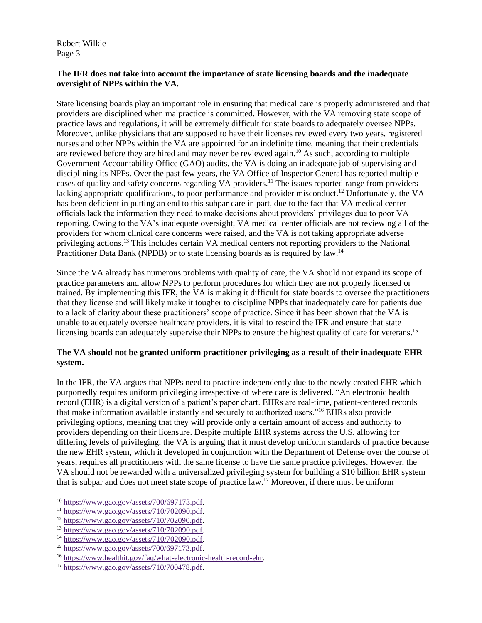## **The IFR does not take into account the importance of state licensing boards and the inadequate oversight of NPPs within the VA.**

State licensing boards play an important role in ensuring that medical care is properly administered and that providers are disciplined when malpractice is committed. However, with the VA removing state scope of practice laws and regulations, it will be extremely difficult for state boards to adequately oversee NPPs. Moreover, unlike physicians that are supposed to have their licenses reviewed every two years, registered nurses and other NPPs within the VA are appointed for an indefinite time, meaning that their credentials are reviewed before they are hired and may never be reviewed again.<sup>10</sup> As such, according to multiple Government Accountability Office (GAO) audits, the VA is doing an inadequate job of supervising and disciplining its NPPs. Over the past few years, the VA Office of Inspector General has reported multiple cases of quality and safety concerns regarding VA providers.<sup>11</sup> The issues reported range from providers lacking appropriate qualifications, to poor performance and provider misconduct.<sup>12</sup> Unfortunately, the VA has been deficient in putting an end to this subpar care in part, due to the fact that VA medical center officials lack the information they need to make decisions about providers' privileges due to poor VA reporting. Owing to the VA's inadequate oversight, VA medical center officials are not reviewing all of the providers for whom clinical care concerns were raised, and the VA is not taking appropriate adverse privileging actions.<sup>13</sup> This includes certain VA medical centers not reporting providers to the National Practitioner Data Bank (NPDB) or to state licensing boards as is required by law.<sup>14</sup>

Since the VA already has numerous problems with quality of care, the VA should not expand its scope of practice parameters and allow NPPs to perform procedures for which they are not properly licensed or trained. By implementing this IFR, the VA is making it difficult for state boards to oversee the practitioners that they license and will likely make it tougher to discipline NPPs that inadequately care for patients due to a lack of clarity about these practitioners' scope of practice. Since it has been shown that the VA is unable to adequately oversee healthcare providers, it is vital to rescind the IFR and ensure that state licensing boards can adequately supervise their NPPs to ensure the highest quality of care for veterans.<sup>15</sup>

# **The VA should not be granted uniform practitioner privileging as a result of their inadequate EHR system.**

In the IFR, the VA argues that NPPs need to practice independently due to the newly created EHR which purportedly requires uniform privileging irrespective of where care is delivered. "An [electronic health](https://www.healthit.gov/providers-professionals/learn-ehr-basics)  [record](https://www.healthit.gov/providers-professionals/learn-ehr-basics) (EHR) is a digital version of a patient's paper chart. EHRs are real-time, patient-centered records that make information available instantly and securely to authorized users."<sup>16</sup> EHRs also provide privileging options, meaning that they will provide only a certain amount of access and authority to providers depending on their licensure. Despite multiple EHR systems across the U.S. allowing for differing levels of privileging, the VA is arguing that it must develop uniform standards of practice because the new EHR system, which it developed in conjunction with the Department of Defense over the course of years, requires all practitioners with the same license to have the same practice privileges. However, the VA should not be rewarded with a universalized privileging system for building a \$10 billion EHR system that is subpar and does not meet state scope of practice law.<sup>17</sup> Moreover, if there must be uniform

<sup>10</sup> [https://www.gao.gov/assets/700/697173.pdf.](https://www.gao.gov/assets/700/697173.pdf)

<sup>11</sup> [https://www.gao.gov/assets/710/702090.pdf.](https://www.gao.gov/assets/710/702090.pdf) 

<sup>12</sup> [https://www.gao.gov/assets/710/702090.pdf.](https://www.gao.gov/assets/710/702090.pdf)

<sup>13</sup> [https://www.gao.gov/assets/710/702090.pdf.](https://www.gao.gov/assets/710/702090.pdf)

<sup>14</sup> [https://www.gao.gov/assets/710/702090.pdf.](https://www.gao.gov/assets/710/702090.pdf)

<sup>15</sup> [https://www.gao.gov/assets/700/697173.pdf.](https://www.gao.gov/assets/700/697173.pdf)

<sup>16</sup> [https://www.healthit.gov/faq/what-electronic-health-record-ehr.](https://www.healthit.gov/faq/what-electronic-health-record-ehr)

<sup>17</sup> [https://www.gao.gov/assets/710/700478.pdf.](https://www.gao.gov/assets/710/700478.pdf)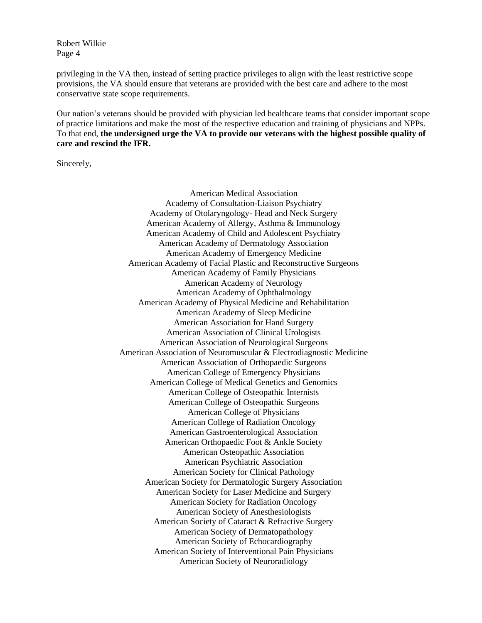privileging in the VA then, instead of setting practice privileges to align with the least restrictive scope provisions, the VA should ensure that veterans are provided with the best care and adhere to the most conservative state scope requirements.

Our nation's veterans should be provided with physician led healthcare teams that consider important scope of practice limitations and make the most of the respective education and training of physicians and NPPs. To that end, **the undersigned urge the VA to provide our veterans with the highest possible quality of care and rescind the IFR.**

Sincerely,

American Medical Association Academy of Consultation-Liaison Psychiatry Academy of Otolaryngology- Head and Neck Surgery American Academy of Allergy, Asthma & Immunology American Academy of Child and Adolescent Psychiatry American Academy of Dermatology Association American Academy of Emergency Medicine American Academy of Facial Plastic and Reconstructive Surgeons American Academy of Family Physicians American Academy of Neurology American Academy of Ophthalmology American Academy of Physical Medicine and Rehabilitation American Academy of Sleep Medicine American Association for Hand Surgery American Association of Clinical Urologists American Association of Neurological Surgeons American Association of Neuromuscular & Electrodiagnostic Medicine American Association of Orthopaedic Surgeons American College of Emergency Physicians American College of Medical Genetics and Genomics American College of Osteopathic Internists American College of Osteopathic Surgeons American College of Physicians American College of Radiation Oncology American Gastroenterological Association American Orthopaedic Foot & Ankle Society American Osteopathic Association American Psychiatric Association American Society for Clinical Pathology American Society for Dermatologic Surgery Association American Society for Laser Medicine and Surgery American Society for Radiation Oncology American Society of Anesthesiologists American Society of Cataract & Refractive Surgery American Society of Dermatopathology American Society of Echocardiography American Society of Interventional Pain Physicians American Society of Neuroradiology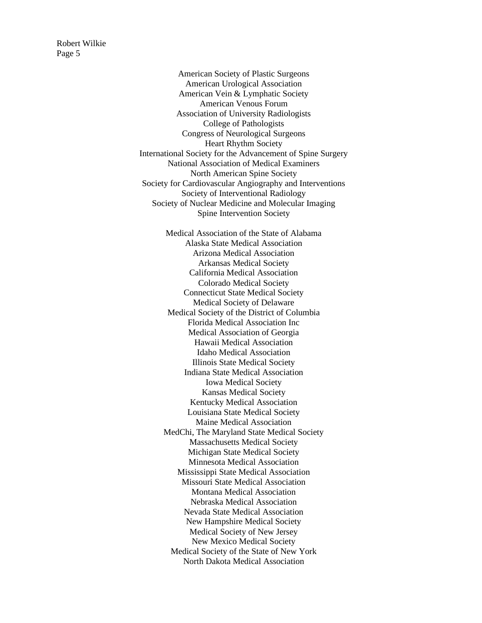> American Society of Plastic Surgeons American Urological Association American Vein & Lymphatic Society American Venous Forum Association of University Radiologists College of Pathologists Congress of Neurological Surgeons Heart Rhythm Society International Society for the Advancement of Spine Surgery National Association of Medical Examiners North American Spine Society Society for Cardiovascular Angiography and Interventions Society of Interventional Radiology Society of Nuclear Medicine and Molecular Imaging Spine Intervention Society

> > Medical Association of the State of Alabama Alaska State Medical Association Arizona Medical Association Arkansas Medical Society California Medical Association Colorado Medical Society Connecticut State Medical Society Medical Society of Delaware Medical Society of the District of Columbia Florida Medical Association Inc Medical Association of Georgia Hawaii Medical Association Idaho Medical Association Illinois State Medical Society Indiana State Medical Association Iowa Medical Society Kansas Medical Society Kentucky Medical Association Louisiana State Medical Society Maine Medical Association MedChi, The Maryland State Medical Society Massachusetts Medical Society Michigan State Medical Society Minnesota Medical Association Mississippi State Medical Association Missouri State Medical Association Montana Medical Association Nebraska Medical Association Nevada State Medical Association New Hampshire Medical Society Medical Society of New Jersey New Mexico Medical Society Medical Society of the State of New York North Dakota Medical Association